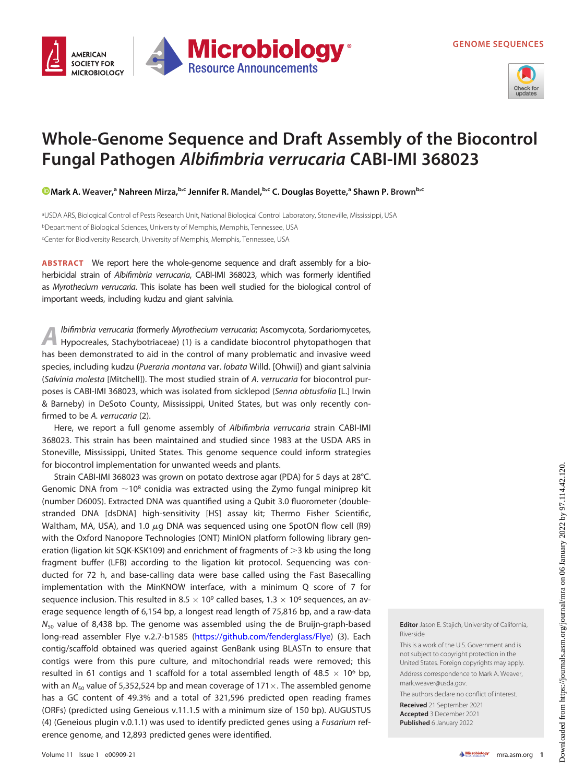

## Whole-Genome Sequence and Draft Assembly of the Biocontrol Fungal Pathogen Albifimbria verrucaria CABI-IMI 368023

**Microbiology** 

**Resource Announcements** 

Mark A. [Weaver,](https://orcid.org/0000-0001-9020-7264)<sup>a</sup> Nahreen Mirza,<sup>b,c</sup> Jennifer R. Mandel,<sup>b,c</sup> C. Douglas Boyette,<sup>a</sup> Shawn P. Brown<sup>b,c</sup>

aUSDA ARS, Biological Control of Pests Research Unit, National Biological Control Laboratory, Stoneville, Mississippi, USA bDepartment of Biological Sciences, University of Memphis, Memphis, Tennessee, USA cCenter for Biodiversity Research, University of Memphis, Memphis, Tennessee, USA

ABSTRACT We report here the whole-genome sequence and draft assembly for a bioherbicidal strain of Albifimbria verrucaria, CABI-IMI 368023, which was formerly identified as Myrothecium verrucaria. This isolate has been well studied for the biological control of important weeds, including kudzu and giant salvinia.

Ibifimbria verrucaria (formerly Myrothecium verrucaria; Ascomycota, Sordariomycetes, Hypocreales, Stachybotriaceae) ([1](#page-1-0)) is a candidate biocontrol phytopathogen that has been demonstrated to aid in the control of many problematic and invasive weed species, including kudzu (Pueraria montana var. lobata Willd. [Ohwii]) and giant salvinia (Salvinia molesta [Mitchell]). The most studied strain of A. verrucaria for biocontrol purposes is CABI-IMI 368023, which was isolated from sicklepod (Senna obtusfolia [L.] Irwin & Barneby) in DeSoto County, Mississippi, United States, but was only recently confirmed to be A. verrucaria ([2](#page-1-1)).

Here, we report a full genome assembly of Albifimbria verrucaria strain CABI-IMI 368023. This strain has been maintained and studied since 1983 at the USDA ARS in Stoneville, Mississippi, United States. This genome sequence could inform strategies for biocontrol implementation for unwanted weeds and plants.

Strain CABI-IMI 368023 was grown on potato dextrose agar (PDA) for 5 days at 28°C. Genomic DNA from  $\sim$ 10<sup>8</sup> conidia was extracted using the Zymo fungal miniprep kit (number D6005). Extracted DNA was quantified using a Qubit 3.0 fluorometer (doublestranded DNA [dsDNA] high-sensitivity [HS] assay kit; Thermo Fisher Scientific, Waltham, MA, USA), and 1.0  $\mu$ g DNA was sequenced using one SpotON flow cell (R9) with the Oxford Nanopore Technologies (ONT) MinION platform following library generation (ligation kit SQK-KSK109) and enrichment of fragments of  $>3$  kb using the long fragment buffer (LFB) according to the ligation kit protocol. Sequencing was conducted for 72 h, and base-calling data were base called using the Fast Basecalling implementation with the MinKNOW interface, with a minimum Q score of 7 for sequence inclusion. This resulted in 8.5  $\times$  10<sup>9</sup> called bases, 1.3  $\times$  10<sup>6</sup> sequences, an average sequence length of 6,154 bp, a longest read length of 75,816 bp, and a raw-data  $N_{50}$  value of 8,438 bp. The genome was assembled using the de Bruijn-graph-based long-read assembler Flye v.2.7-b1585 ([https://github.com/fenderglass/Flye\)](https://github.com/fenderglass/Flye) [\(3\)](#page-1-2). Each contig/scaffold obtained was queried against GenBank using BLASTn to ensure that contigs were from this pure culture, and mitochondrial reads were removed; this resulted in 61 contigs and 1 scaffold for a total assembled length of 48.5  $\times$  10<sup>6</sup> bp, with an  $N_{50}$  value of 5,352,524 bp and mean coverage of 171 $\times$ . The assembled genome has a GC content of 49.3% and a total of 321,596 predicted open reading frames (ORFs) (predicted using Geneious v.11.1.5 with a minimum size of 150 bp). AUGUSTUS ([4](#page-1-3)) (Geneious plugin v.0.1.1) was used to identify predicted genes using a Fusarium reference genome, and 12,893 predicted genes were identified.

Editor Jason E. Stajich, University of California, Riverside

This is a work of the U.S. Government and is not subject to copyright protection in the United States. Foreign copyrights may apply. Address correspondence to Mark A. Weaver, mark.weaver@usda.gov.

The authors declare no conflict of interest.

Received 21 September 2021 Accepted 3 December 2021 Published 6 January 2022

**AMFRICAN SOCIETY FOR** 

**MICROBIOLOGY**